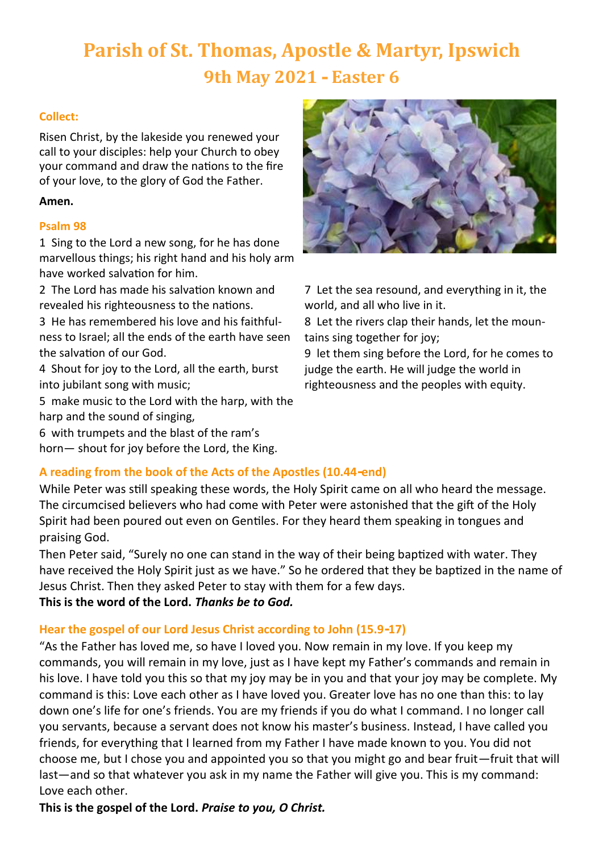# **Parish of St. Thomas, Apostle & Martyr, Ipswich 9th May 2021 - Easter 6**

# **Collect:**

Risen Christ, by the lakeside you renewed your call to your disciples: help your Church to obey your command and draw the nations to the fire of your love, to the glory of God the Father.

# **Amen.**

## **Psalm 98**

1 Sing to the Lord a new song, for he has done marvellous things; his right hand and his holy arm have worked salvation for him.

2 The Lord has made his salvation known and revealed his righteousness to the nations.

3 He has remembered his love and his faithfulness to Israel; all the ends of the earth have seen the salvation of our God.

4 Shout for joy to the Lord, all the earth, burst into jubilant song with music;

5 make music to the Lord with the harp, with the harp and the sound of singing,

6 with trumpets and the blast of the ram's horn— shout for joy before the Lord, the King.



7 Let the sea resound, and everything in it, the world, and all who live in it.

8 Let the rivers clap their hands, let the mountains sing together for joy;

9 let them sing before the Lord, for he comes to judge the earth. He will judge the world in righteousness and the peoples with equity.

# **A reading from the book of the Acts of the Apostles (10.44-end)**

While Peter was still speaking these words, the Holy Spirit came on all who heard the message. The circumcised believers who had come with Peter were astonished that the gift of the Holy Spirit had been poured out even on Gentiles. For they heard them speaking in tongues and praising God.

Then Peter said, "Surely no one can stand in the way of their being baptized with water. They have received the Holy Spirit just as we have." So he ordered that they be baptized in the name of Jesus Christ. Then they asked Peter to stay with them for a few days. **This is the word of the Lord.** *Thanks be to God.*

# **Hear the gospel of our Lord Jesus Christ according to John (15.9-17)**

"As the Father has loved me, so have I loved you. Now remain in my love. If you keep my commands, you will remain in my love, just as I have kept my Father's commands and remain in his love. I have told you this so that my joy may be in you and that your joy may be complete. My command is this: Love each other as I have loved you. Greater love has no one than this: to lay down one's life for one's friends. You are my friends if you do what I command. I no longer call you servants, because a servant does not know his master's business. Instead, I have called you friends, for everything that I learned from my Father I have made known to you. You did not choose me, but I chose you and appointed you so that you might go and bear fruit—fruit that will last—and so that whatever you ask in my name the Father will give you. This is my command: Love each other.

**This is the gospel of the Lord.** *Praise to you, O Christ.*